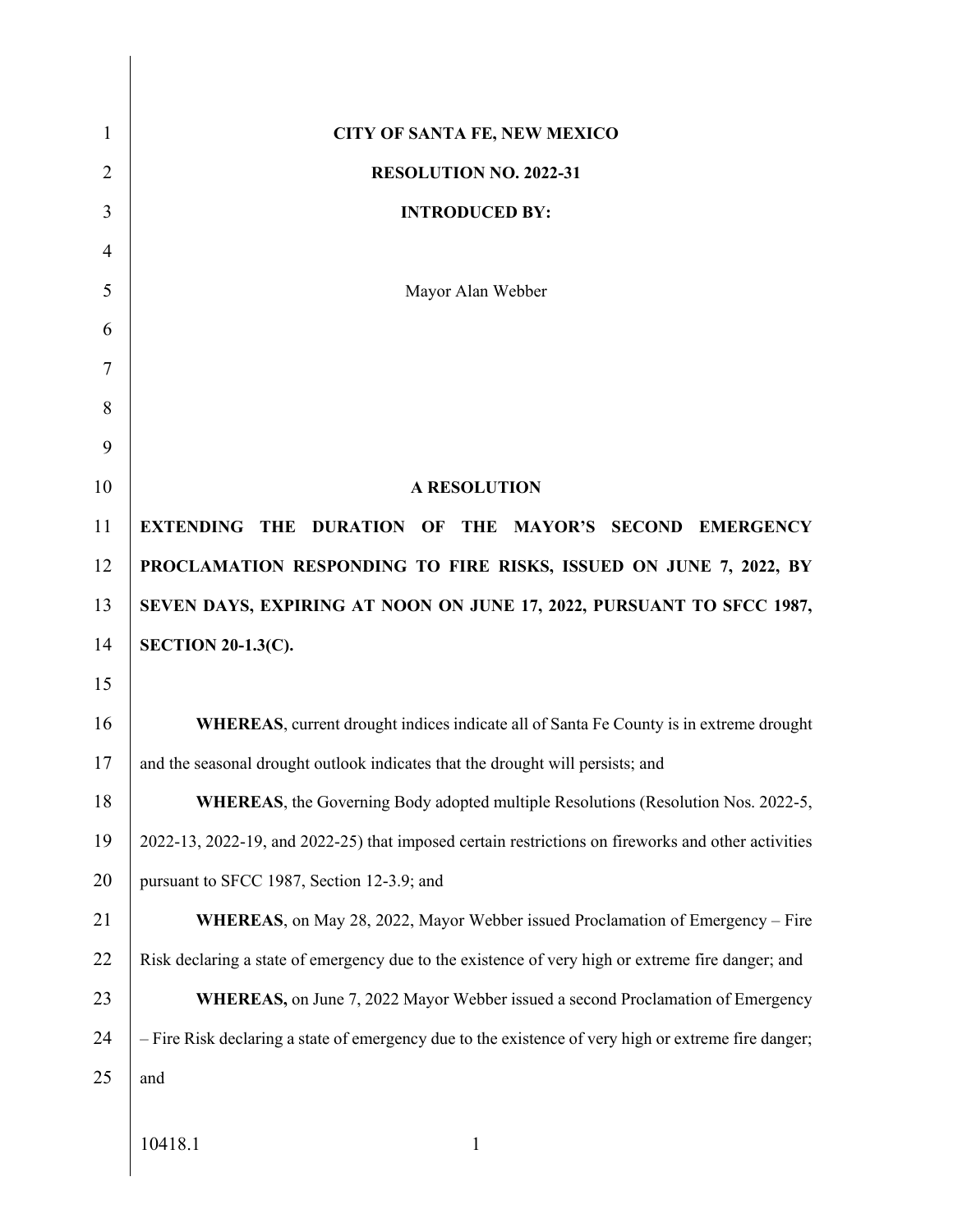| 1              | <b>CITY OF SANTA FE, NEW MEXICO</b>                                                                  |
|----------------|------------------------------------------------------------------------------------------------------|
| $\overline{2}$ | RESOLUTION NO. 2022-31                                                                               |
| 3              | <b>INTRODUCED BY:</b>                                                                                |
| $\overline{4}$ |                                                                                                      |
| 5              | Mayor Alan Webber                                                                                    |
| 6              |                                                                                                      |
| 7              |                                                                                                      |
| 8              |                                                                                                      |
| 9              |                                                                                                      |
| 10             | <b>A RESOLUTION</b>                                                                                  |
| 11             | EXTENDING THE DURATION OF THE MAYOR'S SECOND EMERGENCY                                               |
| 12             | PROCLAMATION RESPONDING TO FIRE RISKS, ISSUED ON JUNE 7, 2022, BY                                    |
| 13             | SEVEN DAYS, EXPIRING AT NOON ON JUNE 17, 2022, PURSUANT TO SFCC 1987,                                |
| 14             | <b>SECTION 20-1.3(C).</b>                                                                            |
| 15             |                                                                                                      |
| 16             | <b>WHEREAS</b> , current drought indices indicate all of Santa Fe County is in extreme drought       |
| 17             | and the seasonal drought outlook indicates that the drought will persists; and                       |
| 18             | WHEREAS, the Governing Body adopted multiple Resolutions (Resolution Nos. 2022-5,                    |
| 19             | 2022-13, 2022-19, and 2022-25) that imposed certain restrictions on fireworks and other activities   |
| 20             | pursuant to SFCC 1987, Section 12-3.9; and                                                           |
| 21             | <b>WHEREAS</b> , on May 28, 2022, Mayor Webber issued Proclamation of Emergency – Fire               |
| 22             | Risk declaring a state of emergency due to the existence of very high or extreme fire danger; and    |
| 23             | <b>WHEREAS</b> , on June 7, 2022 Mayor Webber issued a second Proclamation of Emergency              |
| 24             | - Fire Risk declaring a state of emergency due to the existence of very high or extreme fire danger; |
| 25             | and                                                                                                  |
|                |                                                                                                      |
|                | 10418.1<br>1                                                                                         |